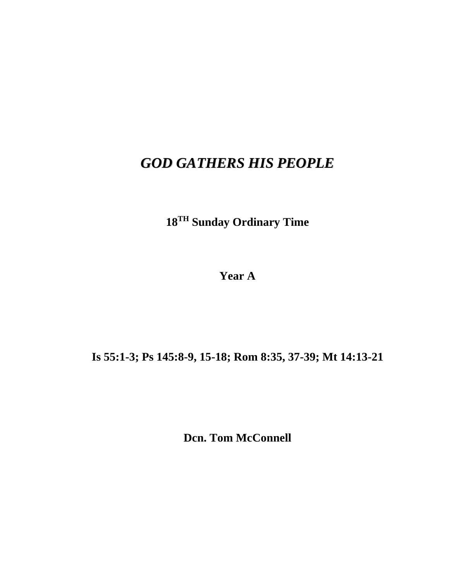## *GOD GATHERS HIS PEOPLE*

**18TH Sunday Ordinary Time**

**Year A**

## **Is 55:1-3; Ps 145:8-9, 15-18; Rom 8:35, 37-39; Mt 14:13-21**

**Dcn. Tom McConnell**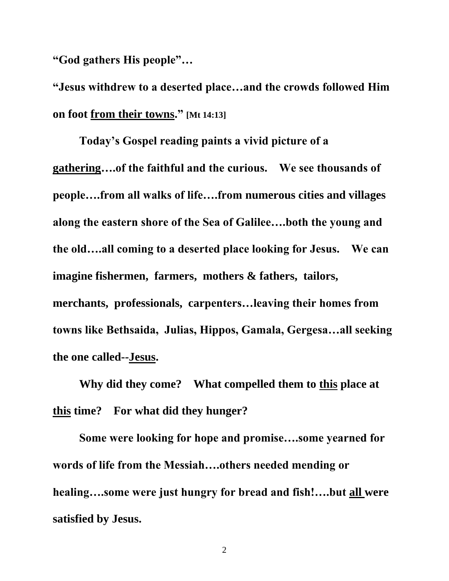**"God gathers His people"…**

**"Jesus withdrew to a deserted place…and the crowds followed Him on foot from their towns." [Mt 14:13]**

**Today's Gospel reading paints a vivid picture of a gathering….of the faithful and the curious. We see thousands of people….from all walks of life….from numerous cities and villages along the eastern shore of the Sea of Galilee….both the young and the old….all coming to a deserted place looking for Jesus. We can imagine fishermen, farmers, mothers & fathers, tailors, merchants, professionals, carpenters…leaving their homes from towns like Bethsaida, Julias, Hippos, Gamala, Gergesa…all seeking the one called--Jesus.**

**Why did they come? What compelled them to this place at this time? For what did they hunger?**

**Some were looking for hope and promise….some yearned for words of life from the Messiah….others needed mending or healing….some were just hungry for bread and fish!….but all were satisfied by Jesus.**

2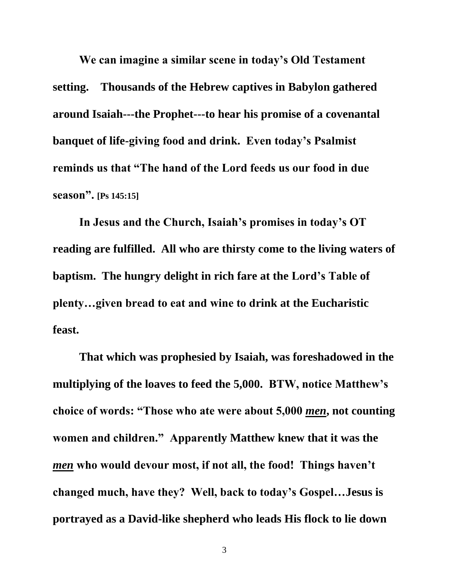**We can imagine a similar scene in today's Old Testament setting. Thousands of the Hebrew captives in Babylon gathered around Isaiah---the Prophet---to hear his promise of a covenantal banquet of life-giving food and drink. Even today's Psalmist reminds us that "The hand of the Lord feeds us our food in due season". [Ps 145:15]**

**In Jesus and the Church, Isaiah's promises in today's OT reading are fulfilled. All who are thirsty come to the living waters of baptism. The hungry delight in rich fare at the Lord's Table of plenty…given bread to eat and wine to drink at the Eucharistic feast.**

**That which was prophesied by Isaiah, was foreshadowed in the multiplying of the loaves to feed the 5,000. BTW, notice Matthew's choice of words: "Those who ate were about 5,000** *men***, not counting women and children." Apparently Matthew knew that it was the**  *men* **who would devour most, if not all, the food! Things haven't changed much, have they? Well, back to today's Gospel…Jesus is portrayed as a David-like shepherd who leads His flock to lie down**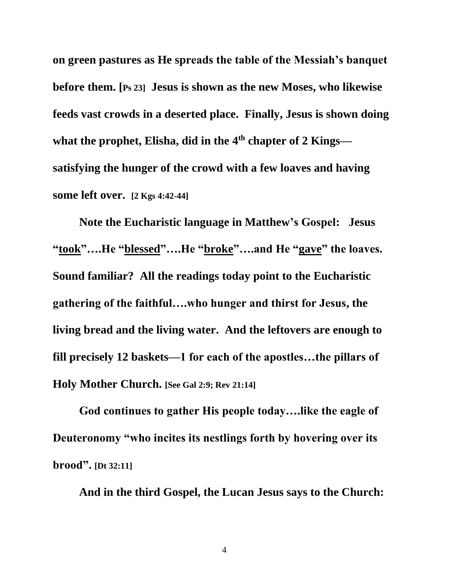**on green pastures as He spreads the table of the Messiah's banquet before them. [Ps 23] Jesus is shown as the new Moses, who likewise feeds vast crowds in a deserted place. Finally, Jesus is shown doing what the prophet, Elisha, did in the 4th chapter of 2 Kings satisfying the hunger of the crowd with a few loaves and having some left over. [2 Kgs 4:42-44]**

**Note the Eucharistic language in Matthew's Gospel: Jesus "took"….He "blessed"….He "broke"….and He "gave" the loaves. Sound familiar? All the readings today point to the Eucharistic gathering of the faithful….who hunger and thirst for Jesus, the living bread and the living water. And the leftovers are enough to fill precisely 12 baskets—1 for each of the apostles…the pillars of Holy Mother Church. [See Gal 2:9; Rev 21:14]**

**God continues to gather His people today….like the eagle of Deuteronomy "who incites its nestlings forth by hovering over its brood". [Dt 32:11]**

**And in the third Gospel, the Lucan Jesus says to the Church:**

4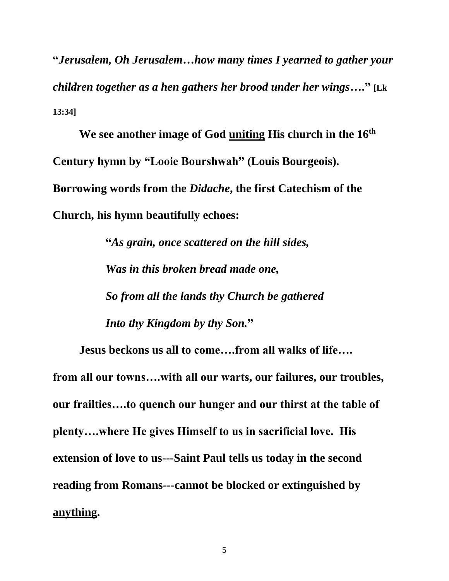**"***Jerusalem, Oh Jerusalem…how many times I yearned to gather your children together as a hen gathers her brood under her wings***…." [Lk 13:34]**

**We see another image of God uniting His church in the 16th Century hymn by "Looie Bourshwah" (Louis Bourgeois). Borrowing words from the** *Didache***, the first Catechism of the Church, his hymn beautifully echoes:**

> **"***As grain, once scattered on the hill sides, Was in this broken bread made one, So from all the lands thy Church be gathered Into thy Kingdom by thy Son.***"**

**Jesus beckons us all to come….from all walks of life…. from all our towns….with all our warts, our failures, our troubles, our frailties….to quench our hunger and our thirst at the table of plenty….where He gives Himself to us in sacrificial love. His extension of love to us---Saint Paul tells us today in the second reading from Romans---cannot be blocked or extinguished by anything.**